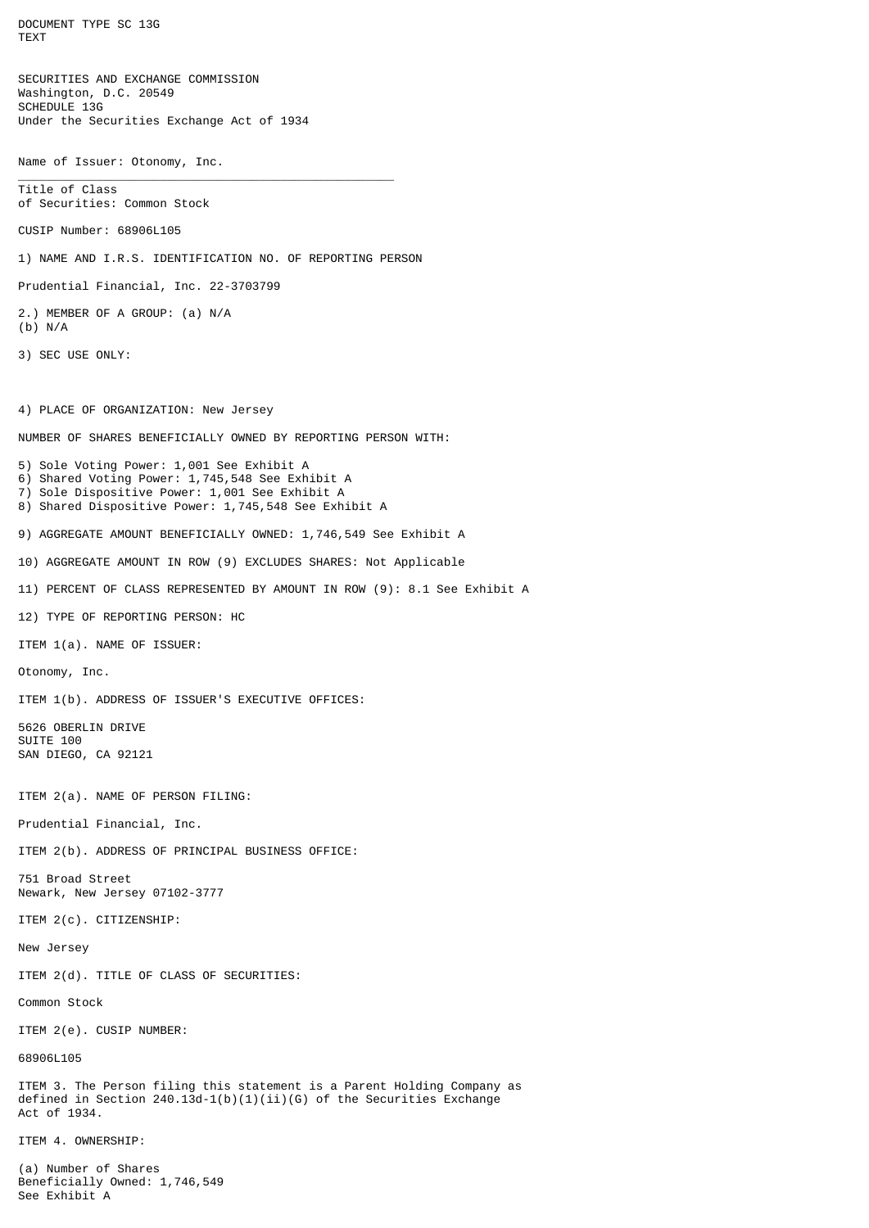DOCUMENT TYPE SC 13G TEXT SECURITIES AND EXCHANGE COMMISSION Washington, D.C. 20549 SCHEDULE 13G Under the Securities Exchange Act of 1934 Name of Issuer: Otonomy, Inc. \_\_\_\_\_\_\_\_\_\_\_\_\_\_\_\_\_\_\_\_\_\_\_\_\_\_\_\_\_\_\_\_\_\_\_\_\_\_\_\_\_\_\_\_\_\_\_\_\_\_\_\_\_ Title of Class of Securities: Common Stock CUSIP Number: 68906L105 1) NAME AND I.R.S. IDENTIFICATION NO. OF REPORTING PERSON Prudential Financial, Inc. 22-3703799 2.) MEMBER OF A GROUP: (a) N/A (b) N/A 3) SEC USE ONLY: 4) PLACE OF ORGANIZATION: New Jersey NUMBER OF SHARES BENEFICIALLY OWNED BY REPORTING PERSON WITH: 5) Sole Voting Power: 1,001 See Exhibit A 6) Shared Voting Power: 1,745,548 See Exhibit A 7) Sole Dispositive Power: 1,001 See Exhibit A 8) Shared Dispositive Power: 1,745,548 See Exhibit A 9) AGGREGATE AMOUNT BENEFICIALLY OWNED: 1,746,549 See Exhibit A 10) AGGREGATE AMOUNT IN ROW (9) EXCLUDES SHARES: Not Applicable 11) PERCENT OF CLASS REPRESENTED BY AMOUNT IN ROW (9): 8.1 See Exhibit A 12) TYPE OF REPORTING PERSON: HC ITEM 1(a). NAME OF ISSUER: Otonomy, Inc. ITEM 1(b). ADDRESS OF ISSUER'S EXECUTIVE OFFICES: 5626 OBERLIN DRIVE SUITE 100 SAN DIEGO, CA 92121 ITEM 2(a). NAME OF PERSON FILING: Prudential Financial, Inc. ITEM 2(b). ADDRESS OF PRINCIPAL BUSINESS OFFICE: 751 Broad Street Newark, New Jersey 07102-3777 ITEM 2(c). CITIZENSHIP: New Jersey ITEM 2(d). TITLE OF CLASS OF SECURITIES: Common Stock ITEM 2(e). CUSIP NUMBER: 68906L105 ITEM 3. The Person filing this statement is a Parent Holding Company as defined in Section 240.13d-1(b)(1)(ii)(G) of the Securities Exchange Act of 1934. ITEM 4. OWNERSHIP: (a) Number of Shares Beneficially Owned: 1,746,549 See Exhibit A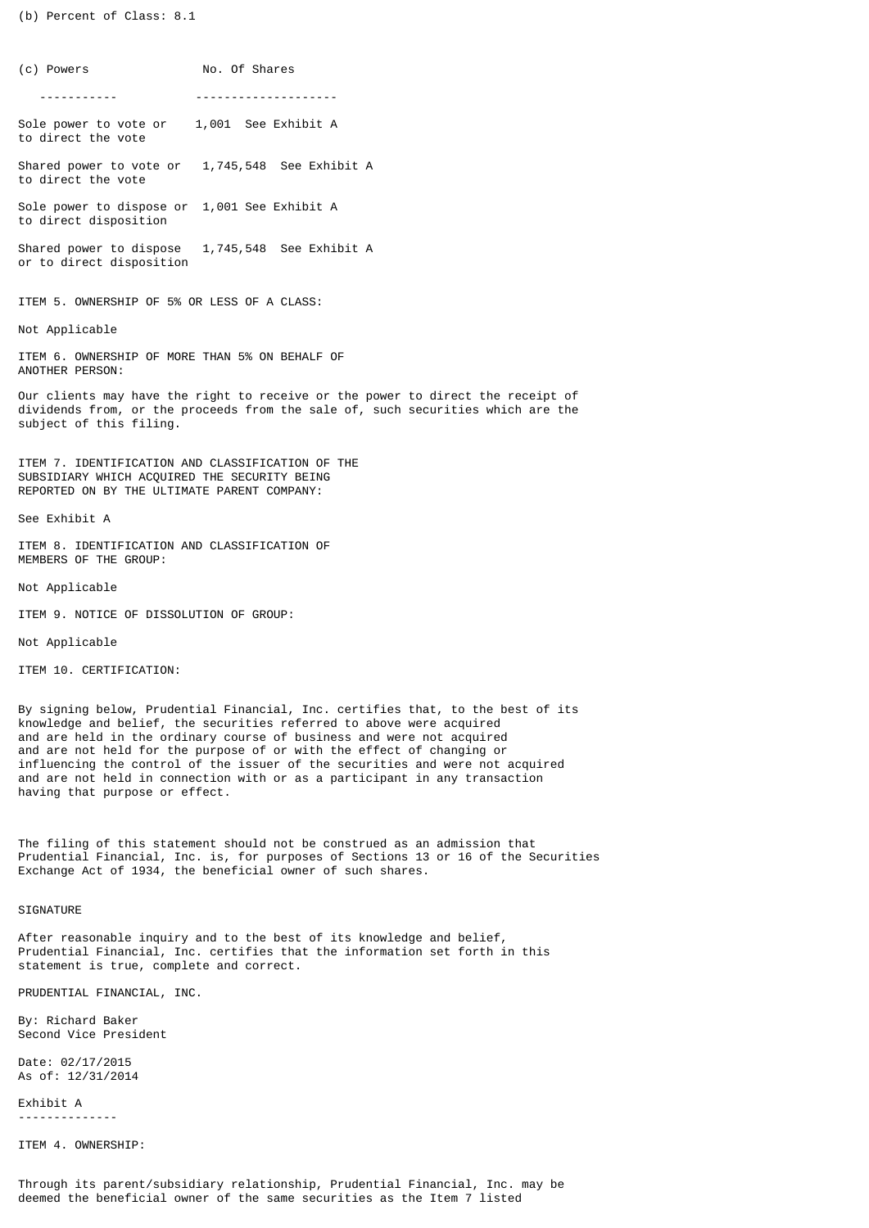(b) Percent of Class: 8.1

(c) Powers No. Of Shares ----------- -------------------- Sole power to vote or 1,001 See Exhibit A to direct the vote Shared power to vote or 1,745,548 See Exhibit A to direct the vote Sole power to dispose or 1,001 See Exhibit A to direct disposition Shared power to dispose 1,745,548 See Exhibit A or to direct disposition

ITEM 5. OWNERSHIP OF 5% OR LESS OF A CLASS:

Not Applicable

ITEM 6. OWNERSHIP OF MORE THAN 5% ON BEHALF OF ANOTHER PERSON:

Our clients may have the right to receive or the power to direct the receipt of dividends from, or the proceeds from the sale of, such securities which are the subject of this filing.

ITEM 7. IDENTIFICATION AND CLASSIFICATION OF THE SUBSIDIARY WHICH ACQUIRED THE SECURITY BEING REPORTED ON BY THE ULTIMATE PARENT COMPANY:

See Exhibit A

ITEM 8. IDENTIFICATION AND CLASSIFICATION OF MEMBERS OF THE GROUP:

Not Applicable

ITEM 9. NOTICE OF DISSOLUTION OF GROUP:

Not Applicable

ITEM 10. CERTIFICATION:

By signing below, Prudential Financial, Inc. certifies that, to the best of its knowledge and belief, the securities referred to above were acquired and are held in the ordinary course of business and were not acquired and are not held for the purpose of or with the effect of changing or influencing the control of the issuer of the securities and were not acquired and are not held in connection with or as a participant in any transaction having that purpose or effect.

The filing of this statement should not be construed as an admission that Prudential Financial, Inc. is, for purposes of Sections 13 or 16 of the Securities Exchange Act of 1934, the beneficial owner of such shares.

**SIGNATURE** 

After reasonable inquiry and to the best of its knowledge and belief, Prudential Financial, Inc. certifies that the information set forth in this statement is true, complete and correct.

PRUDENTIAL FINANCIAL, INC.

By: Richard Baker Second Vice President

Date: 02/17/2015 As of: 12/31/2014

Exhibit A --------------

ITEM 4. OWNERSHIP: